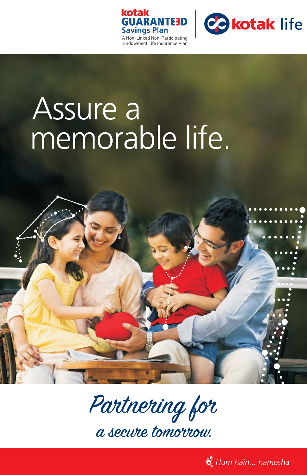



# Assure a memorable life.



Partnering for

a secure tomorrou.

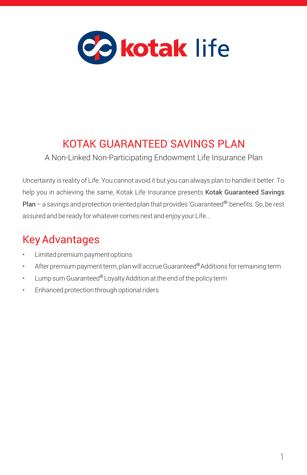

# KOTAK GUARANTEED SAVINGS PLAN

A Non-Linked Non-Participating Endowment Life Insurance Plan

Uncertainty is reality of Life. You cannot avoid it but you can always plan to handle it better. To help you in achieving the same, Kotak Life Insurance presents Kotak Guaranteed Savings Plan – a savings and protection oriented plan that provides 'Guaranteed<sup>®</sup>' benefits. So, be rest assured and be ready for whatever comes next and enjoy your Life...

# Key Advantages

- Limited premium payment options
- After premium payment term, plan will accrue Guaranteed®Additions for remaining term
- Lump sum Guaranteed  $^{\circ}$  Loyalty Addition at the end of the policy term
- Enhanced protection through optional riders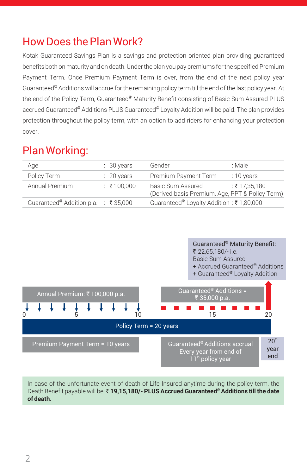### How Does the Plan Work?

Kotak Guaranteed Savings Plan is a savings and protection oriented plan providing guaranteed benefits both on maturity and on death. Under the plan you pay premiums for the specified Premium Payment Term. Once Premium Payment Term is over, from the end of the next policy year Guaranteed<sup>®</sup> Additions will accrue for the remaining policy term till the end of the last policy year. At the end of the Policy Term, Guaranteed® Maturity Benefit consisting of Basic Sum Assured PLUS accrued Guaranteed® Additions PLUS Guaranteed® Loyalty Addition will be paid. The plan provides protection throughout the policy term, with an option to add riders for enhancing your protection cover.

### Plan Working:

| Age                                             | $\therefore$ 30 years | Gender                                              | : Male                                                           |
|-------------------------------------------------|-----------------------|-----------------------------------------------------|------------------------------------------------------------------|
| Policy Term                                     | $\therefore$ 20 years | Premium Payment Term                                | $:10$ years                                                      |
| Annual Premium                                  | : ₹100.000            | Basic Sum Assured                                   | ∶ ₹ 17.35.180<br>(Derived basis Premium, Age, PPT & Policy Term) |
| Guaranteed <sup>®</sup> Addition p.a. : ₹35,000 |                       | Guaranteed <sup>@</sup> Loyalty Addition: ₹1,80,000 |                                                                  |



In case of the unfortunate event of death of Life Insured anytime during the policy term, the Death Benefit payable will be: ₹19,15,180/- PLUS Accrued Guaranteed<sup>®</sup> Additions till the date **of death.**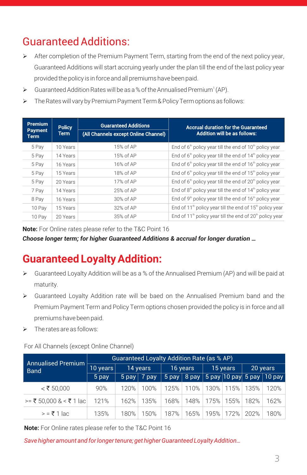# Guaranteed Additions:

- $\triangleright$  After completion of the Premium Payment Term, starting from the end of the next policy year, Guaranteed Additions will start accruing yearly under the plan till the end of the last policy year provided the policy is in force and all premiums have been paid.
- Guaranteed Addition Rates will be as a % of the Annualised Premium<sup>1</sup> (AP).
- > The Rates will vary by Premium Payment Term & Policy Term options as follows:

| Premium.<br><b>Payment</b><br><b>Term</b> | <b>Policy</b><br><b>Term</b> | <b>Guaranteed Additions</b><br>(All Channels except Online Channel) | <b>Accrual duration for the Guaranteed</b><br><b>Addition will be as follows:</b> |
|-------------------------------------------|------------------------------|---------------------------------------------------------------------|-----------------------------------------------------------------------------------|
| 5 Pay                                     | 10 Years                     | 15% of AP                                                           | End of $6th$ policy year till the end of $10th$ policy year                       |
| 5 Pay                                     | 14 Years                     | 15% of AP                                                           | End of $6th$ policy year till the end of $14th$ policy year                       |
| 5 Pay                                     | 16 Years                     | 16% of AP                                                           | End of $6th$ policy year till the end of $16th$ policy year                       |
| 5 Pay                                     | 15 Years                     | 18% of AP                                                           | End of $6th$ policy year till the end of $15th$ policy year                       |
| 5 Pay                                     | 20 Years                     | 17% of AP                                                           | End of $6th$ policy year till the end of $20th$ policy year                       |
| 7 Pay                                     | 14 Years                     | 25% of AP                                                           | End of $8th$ policy year till the end of $14th$ policy year                       |
| 8 Pay                                     | 16 Years                     | 30% of AP                                                           | End of $9th$ policy year till the end of $16th$ policy year                       |
| 10 Pay                                    | 15 Years                     | 32% of AP                                                           | End of $11th$ policy year till the end of $15th$ policy year                      |
| 10 Pay                                    | 20 Years                     | 35% of AP                                                           | End of $11th$ policy year till the end of $20th$ policy year                      |

**Note:** For Online rates please refer to the T&C Point 16

*Choose longer term; for higher Guaranteed Additions & accrual for longer duration …*

### **Guaranteed Loyalty Addition:**

- $\triangleright$  Guaranteed Loyalty Addition will be as a % of the Annualised Premium (AP) and will be paid at maturity.
- Ø Guaranteed Loyalty Addition rate will be baed on the Annualised Premium band and the Premium Payment Term and Policy Term options chosen provided the policy is in force and all premiums have been paid.
- > The rates are as follows:

For All Channels (except Online Channel)

| <b>Annualised Premium</b>    | Guaranteed Loyalty Addition Rate (as % AP) |          |                 |          |      |          |      |          |                                                            |
|------------------------------|--------------------------------------------|----------|-----------------|----------|------|----------|------|----------|------------------------------------------------------------|
| <b>Band</b>                  | 10 years                                   | 14 years |                 | 16 years |      | 15 years |      | 20 years |                                                            |
|                              | 5 pay                                      |          | $5$ pay   7 pay |          |      |          |      |          | $\overline{5}$ pay   8 pay   5 pay 10 pay   5 pay   10 pay |
| $\mathbf{<}$ ₹ 50,000        | 90%                                        | 120%     | 100%            | 125%     | 110% | 130%     | 115% | 135%     | 120%                                                       |
| $\ge$ = ₹ 50.000 & < ₹ 1 lac | 121%                                       | 162%     | 135%            | 168%     | 148% | 175%     | 155% | 182%     | 162%                                                       |
| $\geq$ = ₹ 1 lac             | 135%                                       | 180%     | 150%            | 187%     | 165% | 195%     | 172% | 202%     | 180%                                                       |

**Note:** For Online rates please refer to the T&C Point 16

*Save higher amount and for longer tenure; get higher Guaranteed Loyalty Addition…*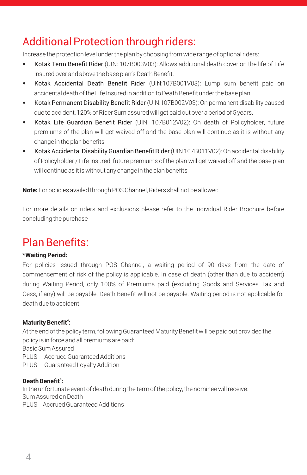# Additional Protection through riders:

Increase the protection level under the plan by choosing from wide range of optional riders:

- Kotak Term Benefit Rider (UIN: 107B003V03): Allows additional death cover on the life of Life Insured over and above the base plan's Death Benefit.
- Kotak Accidental Death Benefit Rider (UIN:107B001V03): Lump sum benefit paid on accidental death of the Life Insured in addition to Death Benefit under the base plan.
- Kotak Permanent Disability Benefit Rider (UIN:107B002V03): On permanent disability caused due to accident, 120% of Rider Sum assured will get paid out over a period of 5 years.
- Kotak Life Guardian Benefit Rider (UIN: 107B012V02): On death of Policyholder, future premiums of the plan will get waived off and the base plan will continue as it is without any change in the plan benefits
- Kotak Accidental Disability Guardian Benefit Rider(UIN 107B011V02): On accidental disability of Policyholder / Life Insured, future premiums of the plan will get waived off and the base plan will continue as it is without any change in the plan benefits

**Note:** For policies availed through POS Channel, Riders shall not be allowed

For more details on riders and exclusions please refer to the Individual Rider Brochure before concluding the purchase

### Plan Benefits:

### **\*Waiting Period:**

For policies issued through POS Channel, a waiting period of 90 days from the date of commencement of risk of the policy is applicable. In case of death (other than due to accident) during Waiting Period, only 100% of Premiums paid (excluding Goods and Services Tax and Cess, if any) will be payable. Death Benefit will not be payable. Waiting period is not applicable for death due to accident.

### **Maturity Benefit<sup>4</sup>:**

At the end of the policy term, following Guaranteed Maturity Benefit will be paid out provided the policy is in force and all premiums are paid:

Basic Sum Assured

- PLUS Accrued Guaranteed Additions
- PLUS Guaranteed Loyalty Addition

### **5 Death Benefit :**

In the unfortunate event of death during the term of the policy, the nominee will receive: Sum Assured on Death PLUS Accrued Guaranteed Additions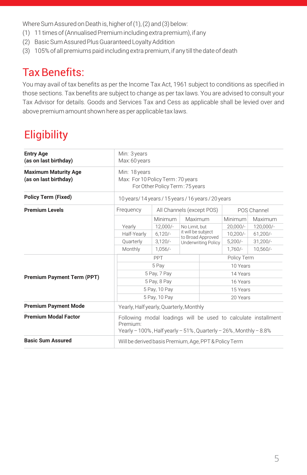Where Sum Assured on Death is, higher of (1), (2) and (3) below:

- (1) 11 times of (Annualised Premium including extra premium), if any
- (2) Basic Sum Assured Plus Guaranteed Loyalty Addition
- (3) 105% of all premiums paid including extra premium, if any till the date of death

### Tax Benefits:

You may avail of tax benefits as per the Income Tax Act, 1961 subject to conditions as specified in those sections. Tax benefits are subject to change as per tax laws. You are advised to consult your Tax Advisor for details. Goods and Services Tax and Cess as applicable shall be levied over and above premium amount shown here as per applicable tax laws.

# **Eligibility**

| <b>Entry Age</b><br>(as on last birthday)            | Min: 3 years<br>Max: 60 years                                                                                                                              |                           |                                                 |             |            |             |  |  |
|------------------------------------------------------|------------------------------------------------------------------------------------------------------------------------------------------------------------|---------------------------|-------------------------------------------------|-------------|------------|-------------|--|--|
| <b>Maximum Maturity Age</b><br>(as on last birthday) | Min: 18 years<br>Max: For 10 Policy Term: 70 years<br>For Other Policy Term: 75 years                                                                      |                           |                                                 |             |            |             |  |  |
| <b>Policy Term (Fixed)</b>                           | 10 years/14 years/15 years/16 years/20 years                                                                                                               |                           |                                                 |             |            |             |  |  |
| <b>Premium Levels</b>                                | Frequency                                                                                                                                                  | All Channels (except POS) |                                                 |             |            | POS Channel |  |  |
|                                                      |                                                                                                                                                            | Minimum                   | Maximum                                         |             | Minimum    | Maximum     |  |  |
|                                                      | Yearly                                                                                                                                                     | $12.000/-$                | No Limit, but                                   |             | $20.000/-$ | 120.000/-   |  |  |
|                                                      | Half-Yearly                                                                                                                                                | $6.120/-$                 | it will be subject                              |             | $10.200/-$ | $61.200/-$  |  |  |
|                                                      | Quarterly                                                                                                                                                  | $3,120/-$                 | to Broad Approved<br><b>Underwriting Policy</b> |             | $5,200/-$  | $31,200/-$  |  |  |
|                                                      | Monthly                                                                                                                                                    | $1.056/-$                 |                                                 |             | $1.760/-$  | $10.560/-$  |  |  |
|                                                      |                                                                                                                                                            |                           |                                                 | Policy Term |            |             |  |  |
|                                                      |                                                                                                                                                            | 5 Pay                     |                                                 | 10 Years    |            |             |  |  |
|                                                      |                                                                                                                                                            | 5 Pay, 7 Pay              |                                                 | 14 Years    |            |             |  |  |
| <b>Premium Payment Term (PPT)</b>                    |                                                                                                                                                            | 5 Pay, 8 Pay              |                                                 | 16 Years    |            |             |  |  |
|                                                      |                                                                                                                                                            | 5 Pay, 10 Pay             |                                                 | 15 Years    |            |             |  |  |
|                                                      | 5 Pay, 10 Pay                                                                                                                                              |                           | 20 Years                                        |             |            |             |  |  |
| <b>Premium Payment Mode</b>                          | Yearly, Half yearly, Quarterly, Monthly                                                                                                                    |                           |                                                 |             |            |             |  |  |
| <b>Premium Modal Factor</b>                          | Following modal loadings will be used to calculate installment<br>Premium:<br>Yearly $-100\%$ , Half yearly $-51\%$ , Quarterly $-26\%$ , Monthly $-8.8\%$ |                           |                                                 |             |            |             |  |  |
| <b>Basic Sum Assured</b>                             | Will be derived basis Premium, Age, PPT & Policy Term                                                                                                      |                           |                                                 |             |            |             |  |  |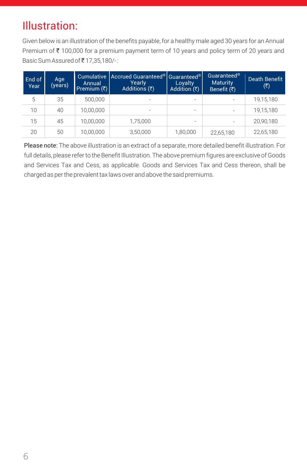## Illustration:

Given below is an illustration of the benefits payable, for a healthy male aged 30 years for an Annual Premium of  $\bar{\tau}$  100,000 for a premium payment term of 10 years and policy term of 20 years and Basic Sum Assured of ₹17,35,180/-:

| End of<br>Year | Age<br>(years) | Annual<br> Premium (₹) | Cumulative   Accrued Guaranteed <sup>@</sup>   Guaranteed <sup>@</sup><br>Yearly<br>Additions (₹) | Loyalty<br>Addition $(3)$ | Guaranteed <sup>®</sup><br><b>Maturity</b><br>Benefit $(\overline{\zeta})$ | Death Benefit<br>(₹) |
|----------------|----------------|------------------------|---------------------------------------------------------------------------------------------------|---------------------------|----------------------------------------------------------------------------|----------------------|
| 5              | 35             | 500,000                | ۰                                                                                                 | $\overline{\phantom{a}}$  |                                                                            | 19,15,180            |
| 10             | 40             | 10.00.000              | -                                                                                                 | $\overline{\phantom{a}}$  | ۰                                                                          | 19,15,180            |
| 15             | 45             | 10.00.000              | 1,75,000                                                                                          | $\overline{\phantom{a}}$  |                                                                            | 20,90,180            |
| 20             | 50             | 10.00.000              | 3,50,000                                                                                          | 1,80,000                  | 22,65,180                                                                  | 22,65,180            |

Please note: The above illustration is an extract of a separate, more detailed benefit illustration. For full details, please refer to the Benefit Illustration. The above premium figures are exclusive of Goods and Services Tax and Cess, as applicable. Goods and Services Tax and Cess thereon, shall be charged as per the prevalent tax laws over and above the said premiums.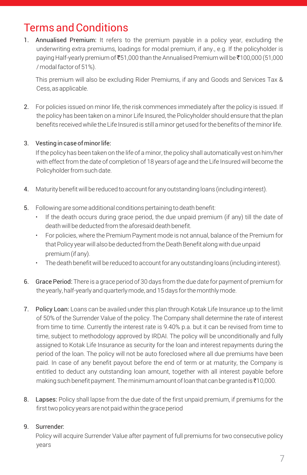# Terms and Conditions

1. Annualised Premium: It refers to the premium payable in a policy year, excluding the underwriting extra premiums, loadings for modal premium, if any., e.g. If the policyholder is paying Half-yearly premium of  $\bar{\xi}51,000$  than the Annualised Premium will be  $\bar{\xi}100,000$  (51,000 / modal factor of 51%).

This premium will also be excluding Rider Premiums, if any and Goods and Services Tax & Cess, as applicable.

2. For policies issued on minor life, the risk commences immediately after the policy is issued. If the policy has been taken on a minor Life Insured, the Policyholder should ensure that the plan benefits received while the Life Insured is still a minor get used for the benefits of the minor life.

### 3. Vesting in case of minor life:

If the policy has been taken on the life of a minor, the policy shall automatically vest on him/her with effect from the date of completion of 18 years of age and the Life Insured will become the Policyholder from such date.

- 4. Maturity benefit will be reduced to account for any outstanding loans (including interest).
- 5. Following are some additional conditions pertaining to death benefit:
	- If the death occurs during grace period, the due unpaid premium (if any) till the date of death will be deducted from the aforesaid death benefit.
	- For policies, where the Premium Payment mode is not annual, balance of the Premium for that Policy year will also be deducted from the Death Benefit along with due unpaid premium (if any).
	- The death benefit will be reduced to account for any outstanding loans (including interest).
- 6. Grace Period: There is a grace period of 30 days from the due date for payment of premium for the yearly, half-yearly and quarterly mode, and 15 days for the monthly mode.
- 7. Policy Loan: Loans can be availed under this plan through Kotak Life Insurance up to the limit of 50% of the Surrender Value of the policy. The Company shall determine the rate of interest from time to time. Currently the interest rate is 9.40% p.a. but it can be revised from time to time, subject to methodology approved by IRDAI. The policy will be unconditionally and fully assigned to Kotak Life Insurance as security for the loan and interest repayments during the period of the loan. The policy will not be auto foreclosed where all due premiums have been paid. In case of any benefit payout before the end of term or at maturity, the Company is entitled to deduct any outstanding loan amount, together with all interest payable before making such benefit payment. The minimum amount of loan that can be granted is  $\text{\texttt{[10,000]}}$ .
- 8. Lapses: Policy shall lapse from the due date of the first unpaid premium, if premiums for the first two policy years are not paid within the grace period

### 9. Surrender:

Policy will acquire Surrender Value after payment of full premiums for two consecutive policy years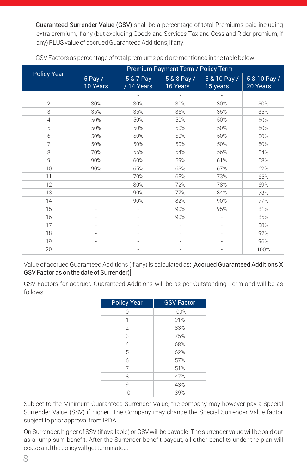Guaranteed Surrender Value (GSV) shall be a percentage of total Premiums paid including extra premium, if any (but excluding Goods and Services Tax and Cess and Rider premium, if any) PLUS value of accrued Guaranteed Additions, if any.

|                    | Premium Payment Term / Policy Term |                         |                         |                          |                          |  |  |  |
|--------------------|------------------------------------|-------------------------|-------------------------|--------------------------|--------------------------|--|--|--|
| <b>Policy Year</b> | $5$ Pay /<br>10 Years              | 5 & 7 Pay<br>/ 14 Years | 5 & 8 Pay /<br>16 Years | 5 & 10 Pay /<br>15 years | 5 & 10 Pay /<br>20 Years |  |  |  |
| 1                  |                                    |                         |                         |                          |                          |  |  |  |
| $\overline{2}$     | 30%                                | 30%                     | 30%                     | 30%                      | 30%                      |  |  |  |
| 3                  | 35%                                | 35%                     | 35%                     | 35%                      | 35%                      |  |  |  |
| 4                  | 50%                                | 50%                     | 50%                     | 50%                      | 50%                      |  |  |  |
| 5                  | 50%                                | 50%                     | 50%                     | 50%                      | 50%                      |  |  |  |
| 6                  | 50%                                | 50%                     | 50%                     | 50%                      | 50%                      |  |  |  |
| 7                  | 50%                                | 50%                     | 50%                     | 50%                      | 50%                      |  |  |  |
| 8                  | 70%                                | 55%                     | 54%                     | 56%                      | 54%                      |  |  |  |
| $\mathbf Q$        | 90%                                | 60%                     | 59%                     | 61%                      | 58%                      |  |  |  |
| 10                 | 90%                                | 65%                     | 63%                     | 67%                      | 62%                      |  |  |  |
| 11                 | i,                                 | 70%                     | 68%                     | 73%                      | 65%                      |  |  |  |
| 12                 |                                    | 80%                     | 72%                     | 78%                      | 69%                      |  |  |  |
| 13                 |                                    | 90%                     | 77%                     | 84%                      | 73%                      |  |  |  |
| 14                 |                                    | 90%                     | 82%                     | 90%                      | 77%                      |  |  |  |
| 15                 |                                    |                         | 90%                     | 95%                      | 81%                      |  |  |  |
| 16                 | ٠                                  | ٠                       | 90%                     | ٠                        | 85%                      |  |  |  |
| 17                 | ٠                                  | $\overline{a}$          | ÷,                      |                          | 88%                      |  |  |  |
| 18                 | ٠                                  | ÷,                      | ÷,                      | ÷,                       | 92%                      |  |  |  |
| 19                 |                                    |                         |                         |                          | 96%                      |  |  |  |
| 20                 |                                    |                         |                         |                          | 100%                     |  |  |  |

GSV Factors as percentage of total premiums paid are mentioned in the table below:

Value of accrued Guaranteed Additions (if any) is calculated as: [Accrued Guaranteed Additions X GSV Factor as on the date of Surrender)]

GSV Factors for accrued Guaranteed Additions will be as per Outstanding Term and will be as follows:

| <b>Policy Year</b> | <b>GSV Factor</b> |
|--------------------|-------------------|
| Λ                  | 100%              |
| 1                  | 91%               |
| $\overline{2}$     | 83%               |
| 3                  | 75%               |
| $\overline{4}$     | 68%               |
| 5                  | 62%               |
| 6                  | 57%               |
| 7                  | 51%               |
| 8                  | 47%               |
| 9                  | 43%               |
| 10                 | 39%               |

Subject to the Minimum Guaranteed Surrender Value, the company may however pay a Special Surrender Value (SSV) if higher. The Company may change the Special Surrender Value factor subject to prior approval from IRDAI.

On Surrender, higher of SSV (if available) or GSV will be payable. The surrender value will be paid out as a lump sum benefit. After the Surrender benefit payout, all other benefits under the plan will cease and the policy will get terminated.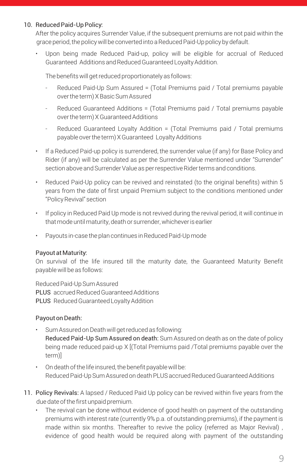#### 10. Reduced Paid-Up Policy:

After the policy acquires Surrender Value, if the subsequent premiums are not paid within the grace period, the policy will be converted into a Reduced Paid-Up policy by default.

• Upon being made Reduced Paid-up, policy will be eligible for accrual of Reduced Guaranteed Additions and Reduced Guaranteed Loyalty Addition.

The benefits will get reduced proportionately as follows:

- Reduced Paid-Up Sum Assured = (Total Premiums paid / Total premiums payable over the term) X Basic Sum Assured
- Reduced Guaranteed Additions = (Total Premiums paid / Total premiums payable over the term) X Guaranteed Additions
- Reduced Guaranteed Loyalty Addition = (Total Premiums paid / Total premiums payable over the term) X Guaranteed Loyalty Additions
- If a Reduced Paid-up policy is surrendered, the surrender value (if any) for Base Policy and Rider (if any) will be calculated as per the Surrender Value mentioned under "Surrender" section above and Surrender Value as per respective Rider terms and conditions.
- Reduced Paid-Up policy can be revived and reinstated (to the original benefits) within 5 years from the date of first unpaid Premium subject to the conditions mentioned under "Policy Revival" section
- If policy in Reduced Paid Up mode is not revived during the revival period, it will continue in that mode until maturity, death or surrender, whichever is earlier
- Payouts in-case the plan continues in Reduced Paid-Up mode

#### Payout at Maturity:

On survival of the life insured till the maturity date, the Guaranteed Maturity Benefit payable will be as follows:

Reduced Paid-Up Sum Assured PLUS accrued Reduced Guaranteed Additions PLUS Reduced Guaranteed Loyalty Addition

#### Payout on Death:

- Sum Assured on Death will get reduced as following: Reduced Paid-Up Sum Assured on death: Sum Assured on death as on the date of policy being made reduced paid-up X [(Total Premiums paid /Total premiums payable over the term)]
- On death of the life insured, the benefit payable will be: Reduced Paid-Up Sum Assured on death PLUS accrued Reduced Guaranteed Additions
- 11. Policy Revivals: A lapsed / Reduced Paid Up policy can be revived within five years from the due date of the first unpaid premium.
	- The revival can be done without evidence of good health on payment of the outstanding premiums with interest rate (currently 9% p.a. of outstanding premiums), if the payment is made within six months. Thereafter to revive the policy (referred as Major Revival) , evidence of good health would be required along with payment of the outstanding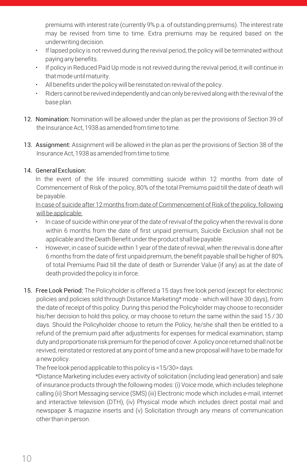premiums with interest rate (currently 9% p.a. of outstanding premiums). The interest rate may be revised from time to time. Extra premiums may be required based on the underwriting decision.

- If lapsed policy is not revived during the revival period, the policy will be terminated without paying any benefits.
- If policy in Reduced Paid Up mode is not revived during the revival period, it will continue in that mode until maturity.
- All benefits under the policy will be reinstated on revival of the policy.
- Riders cannot be revived independently and can only be revived along with the revival of the base plan.
- 12. Nomination: Nomination will be allowed under the plan as per the provisions of Section 39 of the Insurance Act, 1938 as amended from time to time.
- 13. Assignment: Assignment will be allowed in the plan as per the provisions of Section 38 of the Insurance Act, 1938 as amended from time to time.

### 14. General Exclusion:

In the event of the life insured committing suicide within 12 months from date of Commencement of Risk of the policy, 80% of the total Premiums paid till the date of death will be payable.

In case of suicide after 12 months from date of Commencement of Risk of the policy, following will be applicable:

- In case of suicide within one year of the date of revival of the policy when the revival is done within 6 months from the date of first unpaid premium, Suicide Exclusion shall not be applicable and the Death Benefit under the product shall be payable.
- However, in case of suicide within 1 year of the date of revival, when the revival is done after 6 months from the date of first unpaid premium, the benefit payable shall be higher of 80% of total Premiums Paid till the date of death or Surrender Value (if any) as at the date of death provided the policy is in force.
- 15. Free Look Period: The Policyholder is offered a 15 days free look period (except for electronic policies and policies sold through Distance Marketing\* mode - which will have 30 days), from the date of receipt of this policy. During this period the Policyholder may choose to reconsider his/her decision to hold this policy, or may choose to return the same within the said 15 / 30 days. Should the Policyholder choose to return the Policy, he/she shall then be entitled to a refund of the premium paid after adjustments for expenses for medical examination, stamp duty and proportionate risk premium for the period of cover. A policy once returned shall not be revived, reinstated or restored at any point of time and a new proposal will have to be made for a new policy.

The free look period applicable to this policy is <15/30> days.

\*Distance Marketing includes every activity of solicitation (including lead generation) and sale of insurance products through the following modes: (i) Voice mode, which includes telephone calling (ii) Short Messaging service (SMS) (iii) Electronic mode which includes e-mail, internet and interactive television (DTH), (iv) Physical mode which includes direct postal mail and newspaper & magazine inserts and (v) Solicitation through any means of communication other than in person.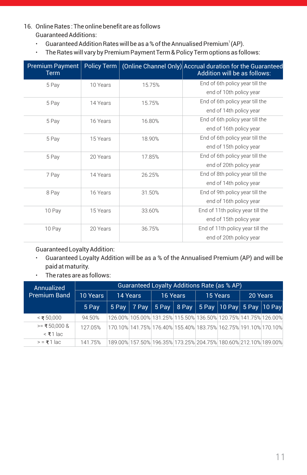- 16. Online Rates : The online benefit are as follows Guaranteed Additions:
	- Guaranteed Addition Rates will be as a % of the Annualised Premium $\degree$  (AP).
	- The Rates will vary by Premium Payment Term & Policy Term options as follows:

| <b>Premium Payment</b><br>Term | Policy Term |        | (Online Channel Only) Accrual duration for the Guaranteed<br>Addition will be as follows: |
|--------------------------------|-------------|--------|-------------------------------------------------------------------------------------------|
| 5 Pay                          | 10 Years    | 15.75% | End of 6th policy year till the                                                           |
|                                |             |        | end of 10th policy year                                                                   |
| 5 Pay                          | 14 Years    | 15.75% | End of 6th policy year till the                                                           |
|                                |             |        | end of 14th policy year                                                                   |
| 5 Pay                          | 16 Years    | 16.80% | End of 6th policy year till the                                                           |
|                                |             |        | end of 16th policy year                                                                   |
| 5 Pay                          | 15 Years    | 18.90% | End of 6th policy year till the                                                           |
|                                |             |        | end of 15th policy year                                                                   |
| 5 Pay                          | 20 Years    | 17.85% | End of 6th policy year till the                                                           |
|                                |             |        | end of 20th policy year                                                                   |
| 7 Pay                          | 14 Years    | 26.25% | End of 8th policy year till the                                                           |
|                                |             |        | end of 14th policy year                                                                   |
| 8 Pay                          | 16 Years    | 31.50% | End of 9th policy year till the                                                           |
|                                |             |        | end of 16th policy year                                                                   |
| 10 Pay                         | 15 Years    | 33.60% | End of 11th policy year till the                                                          |
|                                |             |        | end of 15th policy year                                                                   |
| 10 Pay                         | 20 Years    | 36.75% | End of 11th policy year till the                                                          |
|                                |             |        | end of 20th policy year                                                                   |

Guaranteed Loyalty Addition:

- Guaranteed Loyalty Addition will be as a % of the Annualised Premium (AP) and will be paid at maturity.
- The rates are as follows:

| Annualized                      | Guaranteed Loyalty Additions Rate (as % AP) |                                                                   |          |          |  |          |                                                                 |          |  |
|---------------------------------|---------------------------------------------|-------------------------------------------------------------------|----------|----------|--|----------|-----------------------------------------------------------------|----------|--|
| <b>Premium Band</b>             | 10 Years                                    | 14 Years                                                          |          | 16 Years |  | 15 Years |                                                                 | 20 Years |  |
|                                 | 5 Pay                                       | 5 Pav                                                             | $ 7$ Pay |          |  |          | 5 Pay   8 Pay   5 Pay   10 Pay   5 Pay   10 Pay                 |          |  |
| $\leq$ ₹ 50.000                 | 94.50%                                      | 126.00% 105.00% 131.25% 115.50% 136.50% 120.75% 141.75% 126.00%   |          |          |  |          |                                                                 |          |  |
| $>=$ ₹50.000 &<br>$\leq$ ₹1 lac | 127.05%                                     | 170.10% 141.75% 176.40% 155.40% 183.75% 162.75% 191.10% 170.10% 1 |          |          |  |          |                                                                 |          |  |
| $\geq$ = ₹1 lac                 | 14175%                                      |                                                                   |          |          |  |          | 189.00% 157.50% 196.35% 173.25% 204.75% 180.60% 212.10% 189.00% |          |  |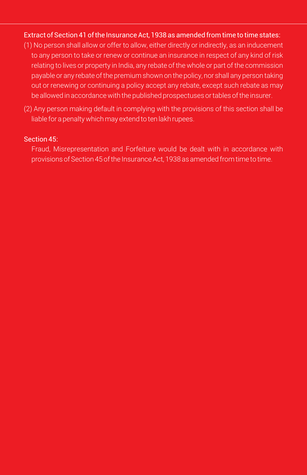### Extract of Section 41 of the Insurance Act, 1938 as amended from time to time states:

- (1) No person shall allow or offer to allow, either directly or indirectly, as an inducement to any person to take or renew or continue an insurance in respect of any kind of risk relating to lives or property in India, any rebate of the whole or part of the commission payable or any rebate of the premium shown on the policy, nor shall any person taking out or renewing or continuing a policy accept any rebate, except such rebate as may be allowed in accordance with the published prospectuses or tables of the insurer.
- (2) Any person making default in complying with the provisions of this section shall be liable for a penalty which may extend to ten lakh rupees.

#### Section 45:

Fraud, Misrepresentation and Forfeiture would be dealt with in accordance with provisions of Section 45 of the Insurance Act, 1938 as amended from time to time.